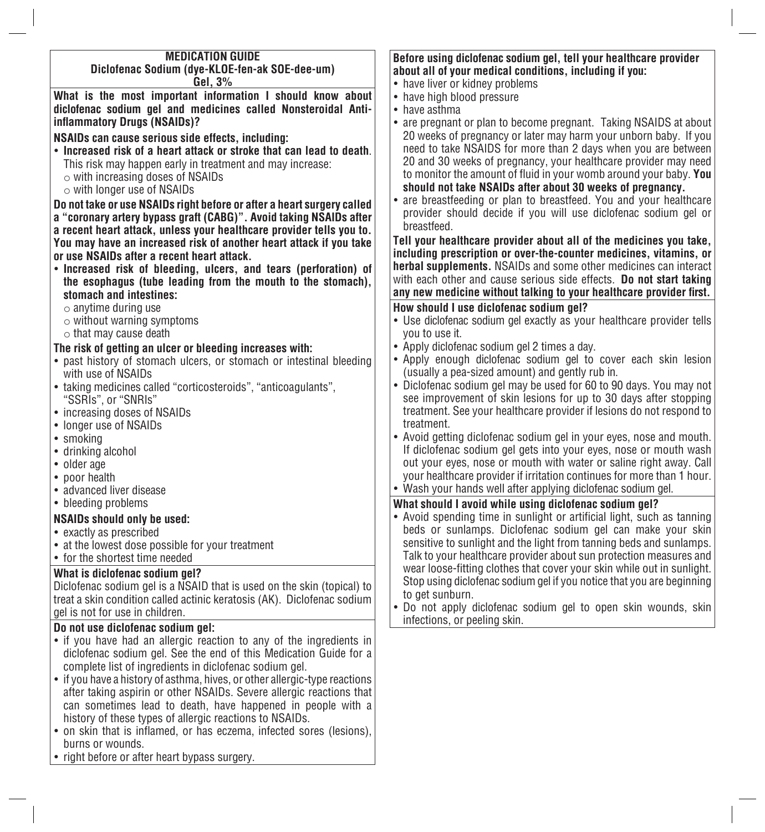| <b>MEDICATION GUIDE</b>                                                    | Before using diclofenac sodium gel, tell your healthcare provider       |
|----------------------------------------------------------------------------|-------------------------------------------------------------------------|
| Diclofenac Sodium (dye-KLOE-fen-ak SOE-dee-um)                             | about all of your medical conditions, including if you:                 |
| Gel, 3%                                                                    | • have liver or kidney problems                                         |
| What is the most important information I should know about                 | • have high blood pressure                                              |
| diclofenac sodium gel and medicines called Nonsteroidal Anti-              | • have asthma                                                           |
| inflammatory Drugs (NSAIDs)?                                               | • are pregnant or plan to become pregnant. Taking NSAIDS at about       |
|                                                                            | 20 weeks of pregnancy or later may harm your unborn baby. If you        |
| NSAIDs can cause serious side effects, including:                          | need to take NSAIDS for more than 2 days when you are between           |
| • Increased risk of a heart attack or stroke that can lead to death.       |                                                                         |
| This risk may happen early in treatment and may increase:                  | 20 and 30 weeks of pregnancy, your healthcare provider may need         |
| $\circ$ with increasing doses of NSAIDs                                    | to monitor the amount of fluid in your womb around your baby. You       |
| $\circ$ with longer use of NSAIDs                                          | should not take NSAIDs after about 30 weeks of pregnancy.               |
| Do not take or use NSAIDs right before or after a heart surgery called     | • are breastfeeding or plan to breastfeed. You and your healthcare      |
| a "coronary artery bypass graft (CABG)". Avoid taking NSAIDs after         | provider should decide if you will use diclofenac sodium gel or         |
| a recent heart attack, unless your healthcare provider tells you to.       | breastfeed.                                                             |
| You may have an increased risk of another heart attack if you take         | Tell your healthcare provider about all of the medicines you take,      |
| or use NSAIDs after a recent heart attack.                                 | including prescription or over-the-counter medicines, vitamins, or      |
|                                                                            | <b>herbal supplements.</b> NSAIDs and some other medicines can interact |
| • Increased risk of bleeding, ulcers, and tears (perforation) of           | with each other and cause serious side effects. Do not start taking     |
| the esophagus (tube leading from the mouth to the stomach),                | any new medicine without talking to your healthcare provider first.     |
| stomach and intestines:                                                    |                                                                         |
| $\circ$ anytime during use                                                 | How should I use diclofenac sodium gel?                                 |
| $\circ$ without warning symptoms                                           | • Use diclofenac sodium gel exactly as your healthcare provider tells   |
| $\circ$ that may cause death                                               | you to use it.                                                          |
| The risk of getting an ulcer or bleeding increases with:                   | • Apply diclofenac sodium gel 2 times a day.                            |
| • past history of stomach ulcers, or stomach or intestinal bleeding        | • Apply enough diclofenac sodium gel to cover each skin lesion          |
| with use of NSAIDs                                                         | (usually a pea-sized amount) and gently rub in.                         |
| • taking medicines called "corticosteroids", "anticoagulants",             | • Diclofenac sodium gel may be used for 60 to 90 days. You may not      |
| "SSRIs", or "SNRIs"                                                        | see improvement of skin lesions for up to 30 days after stopping        |
| • increasing doses of NSAIDs                                               | treatment. See your healthcare provider if lesions do not respond to    |
| • longer use of NSAIDs                                                     | treatment.                                                              |
| • smoking                                                                  | • Avoid getting diclofenac sodium gel in your eyes, nose and mouth.     |
| • drinking alcohol                                                         | If diclofenac sodium gel gets into your eyes, nose or mouth wash        |
| • older age                                                                | out your eyes, nose or mouth with water or saline right away. Call      |
| • poor health                                                              | your healthcare provider if irritation continues for more than 1 hour.  |
| • advanced liver disease                                                   | • Wash your hands well after applying diclofenac sodium gel.            |
| • bleeding problems                                                        |                                                                         |
|                                                                            | What should I avoid while using diclofenac sodium gel?                  |
| <b>NSAIDs should only be used:</b>                                         | • Avoid spending time in sunlight or artificial light, such as tanning  |
| • exactly as prescribed                                                    | beds or sunlamps. Diclofenac sodium gel can make your skin              |
| • at the lowest dose possible for your treatment                           | sensitive to sunlight and the light from tanning beds and sunlamps.     |
| • for the shortest time needed                                             | Talk to your healthcare provider about sun protection measures and      |
| What is diclofenac sodium gel?                                             | wear loose-fitting clothes that cover your skin while out in sunlight.  |
| Diclofenac sodium gel is a NSAID that is used on the skin (topical) to     | Stop using diclofenac sodium gel if you notice that you are beginning   |
| treat a skin condition called actinic keratosis (AK). Diclofenac sodium    | to get sunburn.                                                         |
| gel is not for use in children.                                            | • Do not apply diclofenac sodium gel to open skin wounds, skin          |
| Do not use diclofenac sodium gel:                                          | infections, or peeling skin.                                            |
| • if you have had an allergic reaction to any of the ingredients in        |                                                                         |
| diclofenac sodium gel. See the end of this Medication Guide for a          |                                                                         |
|                                                                            |                                                                         |
| complete list of ingredients in diclofenac sodium gel.                     |                                                                         |
| • if you have a history of asthma, hives, or other allergic-type reactions |                                                                         |
| after taking aspirin or other NSAIDs. Severe allergic reactions that       |                                                                         |
| can sometimes lead to death, have happened in people with a                |                                                                         |
| history of these types of allergic reactions to NSAIDs.                    |                                                                         |

- on skin that is inflamed, or has eczema, infected sores (lesions), burns or wounds.
- • right before or after heart bypass surgery.